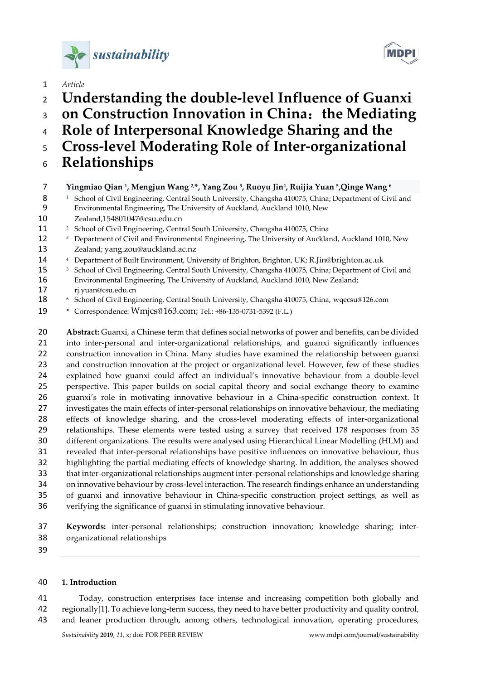



- *Article*
- **Understanding the double-level Influence of Guanxi**
- **on Construction Innovation in China**:**the Mediating**
- **Role of Interpersonal Knowledge Sharing and the**
- **Cross-level Moderating Role of Inter-organizational**
- **Relationships**
- **Yingmiao Qian 1, Mengjun Wang 2,\*, Yang Zou 3, Ruoyu Jin4, Ruijia Yuan 5 ,Qinge Wang <sup>6</sup>**
- 8 <sup>1</sup> School of Civil Engineering, Central South University, Changsha 410075, China; Department of Civil and Environmental Engineering, The University of Auckland, Auckland 1010, New
- Zealand,154801047@csu.edu.cn
- <sup>2</sup> School of Civil Engineering, Central South University, Changsha 410075, China
- 12 <sup>3</sup> Department of Civil and Environmental Engineering, The University of Auckland, Auckland 1010, New Zealand[; yang.zou@auckland.ac.nz](mailto:yang.zou@auckland.ac.nz)
- 
- <sup>4</sup> Department of Built Environment, University of Brighton, Brighton, UK; R.Jin@brighton.ac.uk<br><sup>5</sup> School of Civil Engineering, Central South University, Changsha 410075, China; Department of Civil and Environmental Engineering, The University of Auckland, Auckland 1010, New Zealand; [rj.yuan@csu.edu.cn](mailto:rj.yuan@csu.edu.cn)
- <sup>6</sup> School of Civil Engineering, Central South University, Changsha 410075, China, wqecsu@126.com
- **\*** Correspondence: [Wmjcs@163.com;](mailto:Wmjcs@163.com) Tel.: +86-135-0731-5392 (F.L.)

 **Abstract:** Guanxi, a Chinese term that defines social networks of power and benefits, can be divided into inter-personal and inter-organizational relationships, and guanxi significantly influences construction innovation in China. Many studies have examined the relationship between guanxi and construction innovation at the project or organizational level. However, few of these studies explained how guanxi could affect an individual's innovative behaviour from a double-level perspective. This paper builds on social capital theory and social exchange theory to examine guanxi's role in motivating innovative behaviour in a China-specific construction context. It investigates the main effects of inter-personal relationships on innovative behaviour, the mediating effects of knowledge sharing, and the cross-level moderating effects of inter-organizational relationships. These elements were tested using a survey that received 178 responses from 35 different organizations. The results were analysed using Hierarchical Linear Modelling (HLM) and revealed that inter-personal relationships have positive influences on innovative behaviour, thus highlighting the partial mediating effects of knowledge sharing. In addition, the analyses showed that inter-organizational relationships augment inter-personal relationships and knowledge sharing on innovative behaviour by cross-level interaction. The research findings enhance an understanding of guanxi and innovative behaviour in China-specific construction project settings, as well as verifying the significance of guanxi in stimulating innovative behaviour.

 **Keywords:** inter-personal relationships; construction innovation; knowledge sharing; inter-organizational relationships

# **1. Introduction**

 Today, construction enterprises face intense and increasing competition both globally and regionally[1]. To achieve long-term success, they need to have better productivity and quality control, and leaner production through, among others, technological innovation, operating procedures,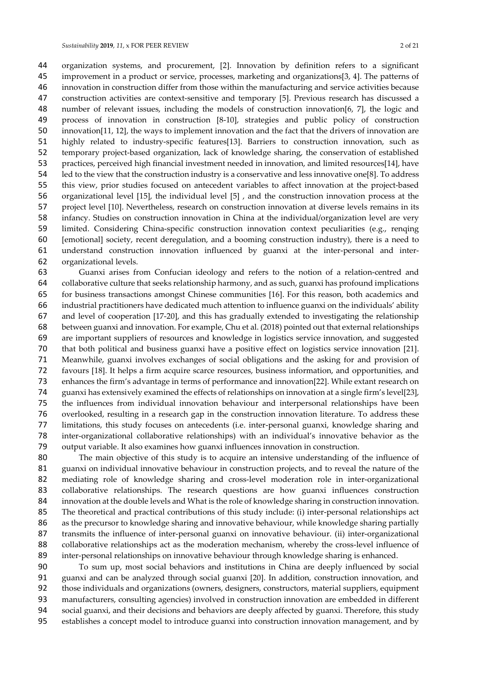organization systems, and procurement, [2]. Innovation by definition refers to a significant improvement in a product or service, processes, marketing and organizations[3, 4]. The patterns of innovation in construction differ from those within the manufacturing and service activities because construction activities are context-sensitive and temporary [5]. Previous research has discussed a number of relevant issues, including the models of construction innovation[6, 7], the logic and process of innovation in construction [8-10], strategies and public policy of construction innovation[11, 12], the ways to implement innovation and the fact that the drivers of innovation are highly related to industry-specific features[13]. Barriers to construction innovation, such as temporary project-based organization, lack of knowledge sharing, the conservation of established practices, perceived high financial investment needed in innovation, and limited resources[14], have led to the view that the construction industry is a conservative and less innovative one[8]. To address this view, prior studies focused on antecedent variables to affect innovation at the project-based organizational level [15], the individual level [5] , and the construction innovation process at the project level [10]. Nevertheless, research on construction innovation at diverse levels remains in its infancy. Studies on construction innovation in China at the individual/organization level are very limited. Considering China-specific construction innovation context peculiarities (e.g., renqing [emotional] society, recent deregulation, and a booming construction industry), there is a need to understand construction innovation influenced by guanxi at the inter-personal and inter-organizational levels.

 Guanxi arises from Confucian ideology and refers to the notion of a relation-centred and collaborative culture that seeks relationship harmony, and as such, guanxi has profound implications for business transactions amongst Chinese communities [16]. For this reason, both academics and industrial practitioners have dedicated much attention to influence guanxi on the individuals' ability and level of cooperation [17-20], and this has gradually extended to investigating the relationship between guanxi and innovation. For example, Chu et al. (2018) pointed out that external relationships are important suppliers of resources and knowledge in logistics service innovation, and suggested that both political and business guanxi have a positive effect on logistics service innovation [21]. Meanwhile, guanxi involves exchanges of social obligations and the asking for and provision of favours [18]. It helps a firm acquire scarce resources, business information, and opportunities, and enhances the firm's advantage in terms of performance and innovation[22]. While extant research on guanxi has extensively examined the effects of relationships on innovation at a single firm's level[23], the influences from individual innovation behaviour and interpersonal relationships have been overlooked, resulting in a research gap in the construction innovation literature. To address these limitations, this study focuses on antecedents (i.e. inter-personal guanxi, knowledge sharing and inter-organizational collaborative relationships) with an individual's innovative behavior as the output variable. It also examines how guanxi influences innovation in construction.

 The main objective of this study is to acquire an intensive understanding of the influence of guanxi on individual innovative behaviour in construction projects, and to reveal the nature of the mediating role of knowledge sharing and cross-level moderation role in inter-organizational collaborative relationships. The research questions are how guanxi influences construction innovation at the double levels and What is the role of knowledge sharing in construction innovation. The theoretical and practical contributions of this study include: (i) inter-personal relationships act as the precursor to knowledge sharing and innovative behaviour, while knowledge sharing partially transmits the influence of inter-personal guanxi on innovative behaviour. (ii) inter-organizational collaborative relationships act as the moderation mechanism, whereby the cross-level influence of inter-personal relationships on innovative behaviour through knowledge sharing is enhanced.

 To sum up, most social behaviors and institutions in China are deeply influenced by social guanxi and can be analyzed through social guanxi [20]. In addition, construction innovation, and those individuals and organizations (owners, designers, constructors, material suppliers, equipment manufacturers, consulting agencies) involved in construction innovation are embedded in different social guanxi, and their decisions and behaviors are deeply affected by guanxi. Therefore, this study establishes a concept model to introduce guanxi into construction innovation management, and by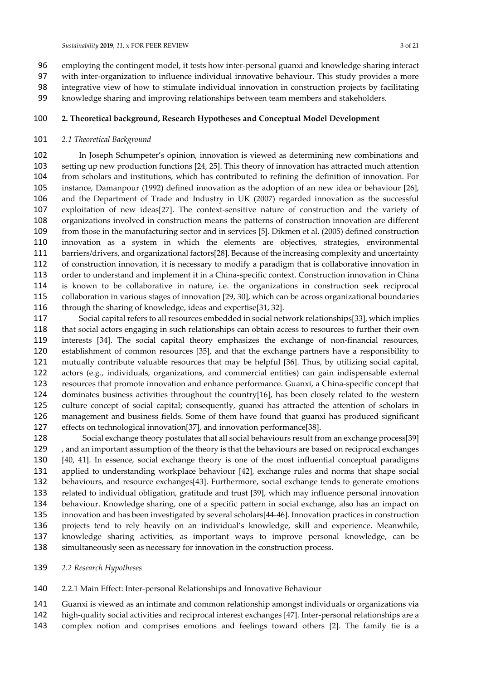- employing the contingent model, it tests how inter-personal guanxi and knowledge sharing interact with inter-organization to influence individual innovative behaviour. This study provides a more integrative view of how to stimulate individual innovation in construction projects by facilitating knowledge sharing and improving relationships between team members and stakeholders.
- **2. Theoretical background, Research Hypotheses and Conceptual Model Development**

#### *2.1 Theoretical Background*

 In Joseph Schumpeter's opinion, innovation is viewed as determining new combinations and setting up new production functions [24, 25]. This theory of innovation has attracted much attention from scholars and institutions, which has contributed to refining the definition of innovation. For instance, Damanpour (1992) defined innovation as the adoption of an new idea or behaviour [26], and the Department of Trade and Industry in UK (2007) regarded innovation as the successful exploitation of new ideas[27]. The context-sensitive nature of construction and the variety of organizations involved in construction means the patterns of construction innovation are different from those in the manufacturing sector and in services [5]. Dikmen et al. (2005) defined construction innovation as a system in which the elements are objectives, strategies, environmental barriers/drivers, and organizational factors[28]. Because of the increasing complexity and uncertainty of construction innovation, it is necessary to modify a paradigm that is collaborative innovation in order to understand and implement it in a China-specific context. Construction innovation in China is known to be collaborative in nature, i.e. the organizations in construction seek reciprocal collaboration in various stages of innovation [29, 30], which can be across organizational boundaries through the sharing of knowledge, ideas and expertise[31, 32].

- Social capital refers to all resources embedded in social network relationships[33], which implies that social actors engaging in such relationships can obtain access to resources to further their own interests [34]. The social capital theory emphasizes the exchange of non-financial resources, establishment of common resources [35], and that the exchange partners have a responsibility to mutually contribute valuable resources that may be helpful [36]. Thus, by utilizing social capital, actors (e.g., individuals, organizations, and commercial entities) can gain indispensable external resources that promote innovation and enhance performance. Guanxi, a China-specific concept that dominates business activities throughout the country[16], has been closely related to the western culture concept of social capital; consequently, guanxi has attracted the attention of scholars in management and business fields. Some of them have found that guanxi has produced significant effects on technological innovation[37], and innovation performance[38].
- Social exchange theory postulates that all social behaviours result from an exchange process[39] 129 , and an important assumption of the theory is that the behaviours are based on reciprocal exchanges [40, 41]. In essence, social exchange theory is one of the most influential conceptual paradigms applied to understanding workplace behaviour [42], exchange rules and norms that shape social behaviours, and resource exchanges[43]. Furthermore, social exchange tends to generate emotions related to individual obligation, gratitude and trust [39], which may influence personal innovation behaviour. Knowledge sharing, one of a specific pattern in social exchange, also has an impact on innovation and has been investigated by several scholars[44-46]. Innovation practices in construction projects tend to rely heavily on an individual's knowledge, skill and experience. Meanwhile, knowledge sharing activities, as important ways to improve personal knowledge, can be simultaneously seen as necessary for innovation in the construction process.
- *2.2 Research Hypotheses*
- 2.2.1 Main Effect: Inter-personal Relationships and Innovative Behaviour
- Guanxi is viewed as an intimate and common relationship amongst individuals or organizations via
- high-quality social activities and reciprocal interest exchanges [47]. Inter-personal relationships are a
- complex notion and comprises emotions and feelings toward others [2]. The family tie is a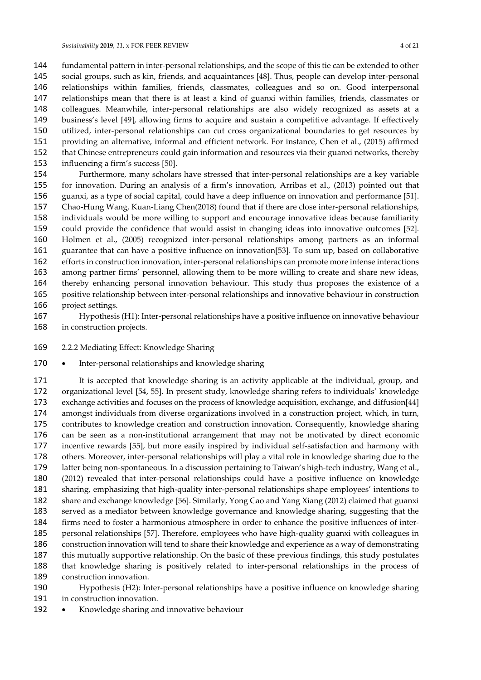fundamental pattern in inter-personal relationships, and the scope of this tie can be extended to other social groups, such as kin, friends, and acquaintances [48]. Thus, people can develop inter-personal relationships within families, friends, classmates, colleagues and so on. Good interpersonal relationships mean that there is at least a kind of guanxi within families, friends, classmates or colleagues. Meanwhile, inter-personal relationships are also widely recognized as assets at a business's level [49], allowing firms to acquire and sustain a competitive advantage. If effectively utilized, inter-personal relationships can cut cross organizational boundaries to get resources by providing an alternative, informal and efficient network. For instance, Chen et al., (2015) affirmed that Chinese entrepreneurs could gain information and resources via their guanxi networks, thereby influencing a firm's success [50].

 Furthermore, many scholars have stressed that inter-personal relationships are a key variable for innovation. During an analysis of a firm's innovation, Arribas et al., (2013) pointed out that guanxi, as a type of social capital, could have a deep influence on innovation and performance [51]. Chao-Hung Wang, Kuan-Liang Chen(2018) found that if there are close inter-personal relationships, individuals would be more willing to support and encourage innovative ideas because familiarity could provide the confidence that would assist in changing ideas into innovative outcomes [52]. Holmen et al., (2005) recognized inter-personal relationships among partners as an informal guarantee that can have a positive influence on innovation[53]. To sum up, based on collaborative efforts in construction innovation, inter-personal relationships can promote more intense interactions among partner firms' personnel, allowing them to be more willing to create and share new ideas, thereby enhancing personal innovation behaviour. This study thus proposes the existence of a positive relationship between inter-personal relationships and innovative behaviour in construction project settings.

- Hypothesis (H1): Inter-personal relationships have a positive influence on innovative behaviour in construction projects.
- 2.2.2 Mediating Effect: Knowledge Sharing
- 170 Inter-personal relationships and knowledge sharing

171 It is accepted that knowledge sharing is an activity applicable at the individual, group, and organizational level [54, 55]. In present study, knowledge sharing refers to individuals' knowledge exchange activities and focuses on the process of knowledge acquisition, exchange, and diffusion[44] amongst individuals from diverse organizations involved in a construction project, which, in turn, contributes to knowledge creation and construction innovation. Consequently, knowledge sharing can be seen as a non-institutional arrangement that may not be motivated by direct economic incentive rewards [55], but more easily inspired by individual self-satisfaction and harmony with others. Moreover, inter-personal relationships will play a vital role in knowledge sharing due to the latter being non-spontaneous. In a discussion pertaining to Taiwan's high-tech industry, Wang et al., (2012) revealed that inter-personal relationships could have a positive influence on knowledge sharing, emphasizing that high-quality inter-personal relationships shape employees' intentions to share and exchange knowledge [56]. Similarly, Yong Cao and Yang Xiang (2012) claimed that guanxi served as a mediator between knowledge governance and knowledge sharing, suggesting that the firms need to foster a harmonious atmosphere in order to enhance the positive influences of inter- personal relationships [57]. Therefore, employees who have high-quality guanxi with colleagues in construction innovation will tend to share their knowledge and experience as a way of demonstrating this mutually supportive relationship. On the basic of these previous findings, this study postulates that knowledge sharing is positively related to inter-personal relationships in the process of construction innovation.

- Hypothesis (H2): Inter-personal relationships have a positive influence on knowledge sharing in construction innovation.
- 192 Knowledge sharing and innovative behaviour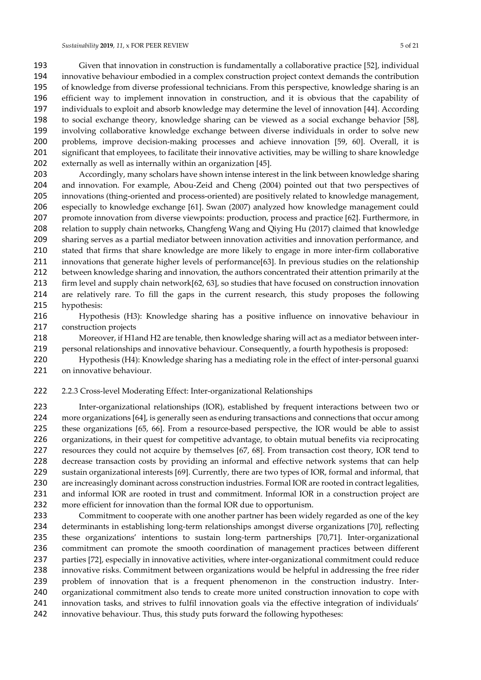Given that innovation in construction is fundamentally a collaborative practice [52], individual innovative behaviour embodied in a complex construction project context demands the contribution of knowledge from diverse professional technicians. From this perspective, knowledge sharing is an efficient way to implement innovation in construction, and it is obvious that the capability of individuals to exploit and absorb knowledge may determine the level of innovation [44]. According to social exchange theory, knowledge sharing can be viewed as a social exchange behavior [58], involving collaborative knowledge exchange between diverse individuals in order to solve new problems, improve decision-making processes and achieve innovation [59, 60]. Overall, it is significant that employees, to facilitate their innovative activities, may be willing to share knowledge externally as well as internally within an organization [45].

 Accordingly, many scholars have shown intense interest in the link between knowledge sharing and innovation. For example, Abou-Zeid and Cheng (2004) pointed out that two perspectives of innovations (thing-oriented and process-oriented) are positively related to knowledge management, especially to knowledge exchange [61]. Swan (2007) analyzed how knowledge management could promote innovation from diverse viewpoints: production, process and practice [62]. Furthermore, in relation to supply chain networks, Changfeng Wang and Qiying Hu (2017) claimed that knowledge sharing serves as a partial mediator between innovation activities and innovation performance, and stated that firms that share knowledge are more likely to engage in more inter-firm collaborative innovations that generate higher levels of performance[63]. In previous studies on the relationship between knowledge sharing and innovation, the authors concentrated their attention primarily at the firm level and supply chain network[62, 63], so studies that have focused on construction innovation are relatively rare. To fill the gaps in the current research, this study proposes the following hypothesis:

 Hypothesis (H3): Knowledge sharing has a positive influence on innovative behaviour in construction projects

 Moreover, if H1and H2 are tenable, then knowledge sharing will act as a mediator between inter-personal relationships and innovative behaviour. Consequently, a fourth hypothesis is proposed:

 Hypothesis (H4): Knowledge sharing has a mediating role in the effect of inter-personal guanxi on innovative behaviour.

2.2.3 Cross-level Moderating Effect: Inter-organizational Relationships

 Inter-organizational relationships (IOR), established by frequent interactions between two or more organizations [64], is generally seen as enduring transactions and connections that occur among these organizations [65, 66]. From a resource-based perspective, the IOR would be able to assist organizations, in their quest for competitive advantage, to obtain mutual benefits via reciprocating resources they could not acquire by themselves [67, 68]. From transaction cost theory, IOR tend to decrease transaction costs by providing an informal and effective network systems that can help sustain organizational interests [69]. Currently, there are two types of IOR, formal and informal, that 230 are increasingly dominant across construction industries. Formal IOR are rooted in contract legalities, 231 and informal IOR are rooted in trust and commitment. Informal IOR in a construction project are more efficient for innovation than the formal IOR due to opportunism.

 Commitment to cooperate with one another partner has been widely regarded as one of the key determinants in establishing long-term relationships amongst diverse organizations [70], reflecting these organizations' intentions to sustain long-term partnerships [70,71]. Inter-organizational commitment can promote the smooth coordination of management practices between different parties [72], especially in innovative activities, where inter-organizational commitment could reduce 238 innovative risks. Commitment between organizations would be helpful in addressing the free rider problem of innovation that is a frequent phenomenon in the construction industry. Inter- organizational commitment also tends to create more united construction innovation to cope with innovation tasks, and strives to fulfil innovation goals via the effective integration of individuals' innovative behaviour. Thus, this study puts forward the following hypotheses: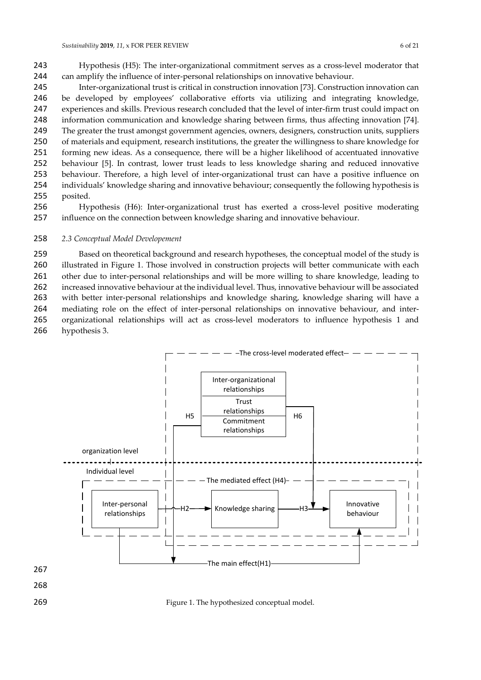Hypothesis (H5): The inter-organizational commitment serves as a cross-level moderator that can amplify the influence of inter-personal relationships on innovative behaviour.

 Inter-organizational trust is critical in construction innovation [73]. Construction innovation can be developed by employees' collaborative efforts via utilizing and integrating knowledge, experiences and skills. Previous research concluded that the level of inter-firm trust could impact on information communication and knowledge sharing between firms, thus affecting innovation [74]. The greater the trust amongst government agencies, owners, designers, construction units, suppliers of materials and equipment, research institutions, the greater the willingness to share knowledge for forming new ideas. As a consequence, there will be a higher likelihood of accentuated innovative behaviour [5]. In contrast, lower trust leads to less knowledge sharing and reduced innovative behaviour. Therefore, a high level of inter-organizational trust can have a positive influence on individuals' knowledge sharing and innovative behaviour; consequently the following hypothesis is posited.

 Hypothesis (H6): Inter-organizational trust has exerted a cross-level positive moderating influence on the connection between knowledge sharing and innovative behaviour.

#### *2.3 Conceptual Model Developement*

 Based on theoretical background and research hypotheses, the conceptual model of the study is illustrated in Figure 1. Those involved in construction projects will better communicate with each other due to inter-personal relationships and will be more willing to share knowledge, leading to increased innovative behaviour at the individual level. Thus, innovative behaviour will be associated with better inter-personal relationships and knowledge sharing, knowledge sharing will have a mediating role on the effect of inter-personal relationships on innovative behaviour, and inter- organizational relationships will act as cross-level moderators to influence hypothesis 1 and hypothesis 3.

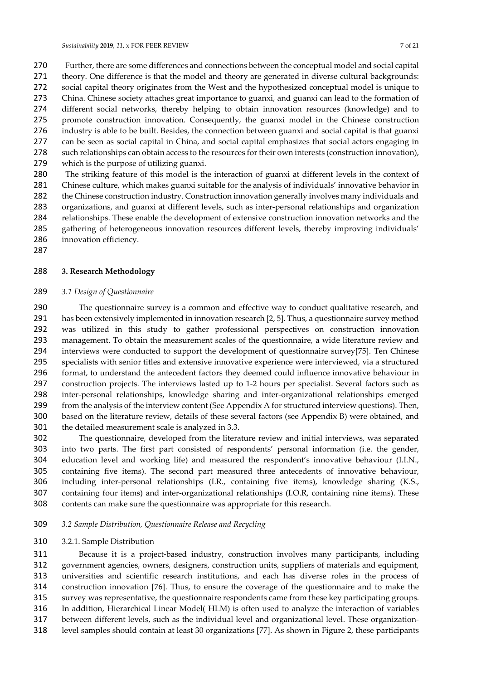Further, there are some differences and connections between the conceptual model and social capital 271 theory. One difference is that the model and theory are generated in diverse cultural backgrounds: social capital theory originates from the West and the hypothesized conceptual model is unique to China. Chinese society attaches great importance to guanxi, and guanxi can lead to the formation of different social networks, thereby helping to obtain innovation resources (knowledge) and to promote construction innovation. Consequently, the guanxi model in the Chinese construction industry is able to be built. Besides, the connection between guanxi and social capital is that guanxi 277 can be seen as social capital in China, and social capital emphasizes that social actors engaging in such relationships can obtain access to the resources for their own interests (construction innovation), which is the purpose of utilizing guanxi. The striking feature of this model is the interaction of guanxi at different levels in the context of

 Chinese culture, which makes guanxi suitable for the analysis of individuals' innovative behavior in the Chinese construction industry. Construction innovation generally involves many individuals and organizations, and guanxi at different levels, such as inter-personal relationships and organization relationships. These enable the development of extensive construction innovation networks and the gathering of heterogeneous innovation resources different levels, thereby improving individuals' 286 innovation efficiency.

# **3. Research Methodology**

#### *3.1 Design of Questionnaire*

 The questionnaire survey is a common and effective way to conduct qualitative research, and has been extensively implemented in innovation research [2, 5]. Thus, a questionnaire survey method was utilized in this study to gather professional perspectives on construction innovation management. To obtain the measurement scales of the questionnaire, a wide literature review and interviews were conducted to support the development of questionnaire survey[75]. Ten Chinese specialists with senior titles and extensive innovative experience were interviewed, via a structured format, to understand the antecedent factors they deemed could influence innovative behaviour in construction projects. The interviews lasted up to 1-2 hours per specialist. Several factors such as inter-personal relationships, knowledge sharing and inter-organizational relationships emerged from the analysis of the interview content (See Appendix A for structured interview questions). Then, based on the literature review, details of these several factors (see Appendix B) were obtained, and the detailed measurement scale is analyzed in 3.3.

 The questionnaire, developed from the literature review and initial interviews, was separated into two parts. The first part consisted of respondents' personal information (i.e. the gender, education level and working life) and measured the respondent's innovative behaviour (I.I.N., containing five items). The second part measured three antecedents of innovative behaviour, including inter-personal relationships (I.R., containing five items), knowledge sharing (K.S., containing four items) and inter-organizational relationships (I.O.R, containing nine items). These contents can make sure the questionnaire was appropriate for this research.

# *3.2 Sample Distribution, Questionnaire Release and Recycling*

#### 3.2.1. Sample Distribution

 Because it is a project-based industry, construction involves many participants, including government agencies, owners, designers, construction units, suppliers of materials and equipment, universities and scientific research institutions, and each has diverse roles in the process of construction innovation [76]. Thus, to ensure the coverage of the questionnaire and to make the survey was representative, the questionnaire respondents came from these key participating groups. In addition, Hierarchical Linear Model( HLM) is often used to analyze the interaction of variables

- between different levels, such as the individual level and organizational level. These organization-
- level samples should contain at least 30 organizations [77]. As shown in Figure 2, these participants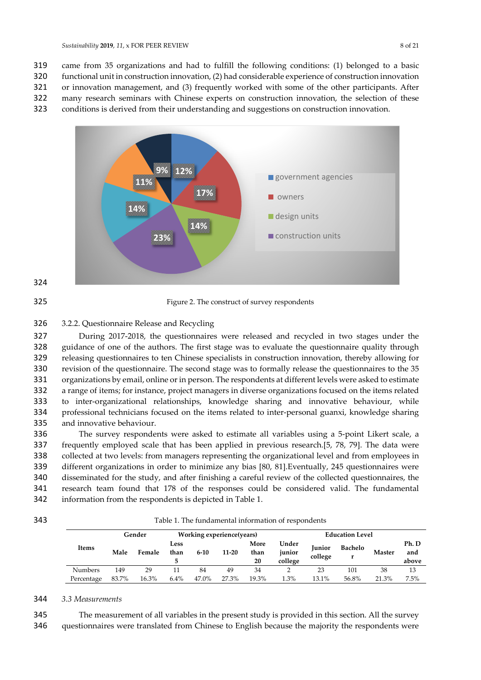319 came from 35 organizations and had to fulfill the following conditions: (1) belonged to a basic

320 functional unit in construction innovation, (2) had considerable experience of construction innovation

321 or innovation management, and (3) frequently worked with some of the other participants. After

322 many research seminars with Chinese experts on construction innovation, the selection of these

323 conditions is derived from their understanding and suggestions on construction innovation.





325 Figure 2. The construct of survey respondents

# 326 3.2.2. Questionnaire Release and Recycling

 During 2017-2018, the questionnaires were released and recycled in two stages under the guidance of one of the authors. The first stage was to evaluate the questionnaire quality through releasing questionnaires to ten Chinese specialists in construction innovation, thereby allowing for revision of the questionnaire. The second stage was to formally release the questionnaires to the 35 organizations by email, online or in person. The respondents at different levels were asked to estimate a range of items; for instance, project managers in diverse organizations focused on the items related to inter-organizational relationships, knowledge sharing and innovative behaviour, while professional technicians focused on the items related to inter-personal guanxi, knowledge sharing and innovative behaviour.

 The survey respondents were asked to estimate all variables using a 5-point Likert scale, a frequently employed scale that has been applied in previous research.[5, 78, 79]. The data were collected at two levels: from managers representing the organizational level and from employees in different organizations in order to minimize any bias [80, 81].Eventually, 245 questionnaires were disseminated for the study, and after finishing a careful review of the collected questionnaires, the research team found that 178 of the responses could be considered valid. The fundamental information from the respondents is depicted in Table 1.



343 Table 1. The fundamental information of respondents

|                | Working experience(years)<br>Gender |        |              | <b>Education Level</b> |       |                    |                            |                   |                |               |                       |
|----------------|-------------------------------------|--------|--------------|------------------------|-------|--------------------|----------------------------|-------------------|----------------|---------------|-----------------------|
| Items          | Male                                | Female | Less<br>than | $6 - 10$               | 11-20 | More<br>than<br>20 | Under<br>junior<br>college | Junior<br>college | <b>Bachelo</b> | <b>Master</b> | Ph. D<br>and<br>above |
| <b>Numbers</b> | 149                                 | 29     | 11           | 84                     | 49    | 34                 |                            | 23                | 101            | 38            | 13                    |
| Percentage     | 83.7%                               | 16.3%  | 6.4%         | 47.0%                  | 27.3% | 19.3%              | .3%                        | 13.1%             | 56.8%          | 21.3%         | $7.5\%$               |

# 344 *3.3 Measurements*

345 The measurement of all variables in the present study is provided in this section. All the survey

346 questionnaires were translated from Chinese to English because the majority the respondents were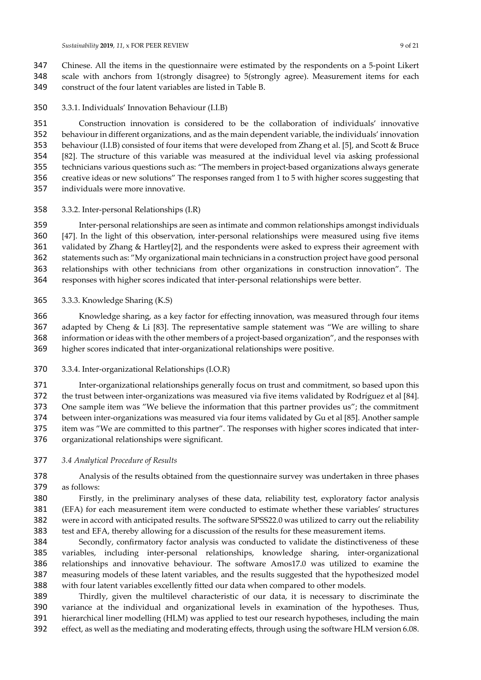Chinese. All the items in the questionnaire were estimated by the respondents on a 5-point Likert scale with anchors from 1(strongly disagree) to 5(strongly agree). Measurement items for each construct of the four latent variables are listed in Table B.

3.3.1. Individuals' Innovation Behaviour (I.I.B)

 Construction innovation is considered to be the collaboration of individuals' innovative behaviour in different organizations, and as the main dependent variable, the individuals' innovation behaviour (I.I.B) consisted of four items that were developed from Zhang et al. [5], and Scott & Bruce [82]. The structure of this variable was measured at the individual level via asking professional technicians various questions such as: "The members in project-based organizations always generate creative ideas or new solutions" The responses ranged from 1 to 5 with higher scores suggesting that individuals were more innovative.

3.3.2. Inter-personal Relationships (I.R)

 Inter-personal relationships are seen as intimate and common relationships amongst individuals [47]. In the light of this observation, inter-personal relationships were measured using five items validated by Zhang & Hartley[2], and the respondents were asked to express their agreement with statements such as: "My organizational main technicians in a construction project have good personal relationships with other technicians from other organizations in construction innovation". The responses with higher scores indicated that inter-personal relationships were better.

3.3.3. Knowledge Sharing (K.S)

 Knowledge sharing, as a key factor for effecting innovation, was measured through four items adapted by Cheng & Li [83]. The representative sample statement was "We are willing to share information or ideas with the other members of a project-based organization", and the responses with higher scores indicated that inter-organizational relationships were positive.

3.3.4. Inter-organizational Relationships (I.O.R)

 Inter-organizational relationships generally focus on trust and commitment, so based upon this the trust between inter-organizations was measured via five items validated by Rodríguez et al [84]. One sample item was "We believe the information that this partner provides us"; the commitment between inter-organizations was measured via four items validated by Gu et al [85]. Another sample item was "We are committed to this partner". The responses with higher scores indicated that inter-organizational relationships were significant.

*3.4 Analytical Procedure of Results* 

 Analysis of the results obtained from the questionnaire survey was undertaken in three phases as follows:

 Firstly, in the preliminary analyses of these data, reliability test, exploratory factor analysis (EFA) for each measurement item were conducted to estimate whether these variables' structures were in accord with anticipated results. The software SPSS22.0 was utilized to carry out the reliability test and EFA, thereby allowing for a discussion of the results for these measurement items.

 Secondly, confirmatory factor analysis was conducted to validate the distinctiveness of these variables, including inter-personal relationships, knowledge sharing, inter-organizational relationships and innovative behaviour. The software Amos17.0 was utilized to examine the measuring models of these latent variables, and the results suggested that the hypothesized model with four latent variables excellently fitted our data when compared to other models.

 Thirdly, given the multilevel characteristic of our data, it is necessary to discriminate the variance at the individual and organizational levels in examination of the hypotheses. Thus, hierarchical liner modelling (HLM) was applied to test our research hypotheses, including the main effect, as well as the mediating and moderating effects, through using the software HLM version 6.08.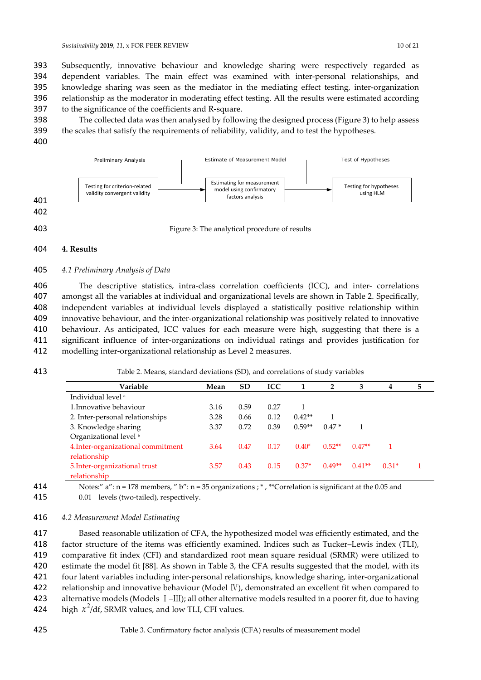*Sustainability* **2019**, *11*, x FOR PEER REVIEW 10 of 21

 Subsequently, innovative behaviour and knowledge sharing were respectively regarded as dependent variables. The main effect was examined with inter-personal relationships, and knowledge sharing was seen as the mediator in the mediating effect testing, inter-organization relationship as the moderator in moderating effect testing. All the results were estimated according to the significance of the coefficients and R-square.

398 The collected data was then analysed by following the designed process (Figure 3) to help assess 399 the scales that satisfy the requirements of reliability, validity, and to test the hypotheses.

400



# 404 **4. Results**

# 405 *4.1 Preliminary Analysis of Data*

 The descriptive statistics, intra-class correlation coefficients (ICC), and inter- correlations amongst all the variables at individual and organizational levels are shown in Table 2. Specifically, independent variables at individual levels displayed a statistically positive relationship within innovative behaviour, and the inter-organizational relationship was positively related to innovative behaviour. As anticipated, ICC values for each measure were high, suggesting that there is a significant influence of inter-organizations on individual ratings and provides justification for modelling inter-organizational relationship as Level 2 measures.

# 413 Table 2. Means, standard deviations (SD), and correlations of study variables

| Variable                           | Mean | <b>SD</b> | <b>ICC</b> | 1        | $\mathbf{2}$ | 3        | 4       | 5 |
|------------------------------------|------|-----------|------------|----------|--------------|----------|---------|---|
| Individual level <sup>a</sup>      |      |           |            |          |              |          |         |   |
| 1. Innovative behaviour            | 3.16 | 0.59      | 0.27       |          |              |          |         |   |
| 2. Inter-personal relationships    | 3.28 | 0.66      | 0.12       | $0.42**$ |              |          |         |   |
| 3. Knowledge sharing               | 3.37 | 0.72      | 0.39       | $0.59**$ | $0.47*$      |          |         |   |
| Organizational level <sup>b</sup>  |      |           |            |          |              |          |         |   |
| 4. Inter-organizational commitment | 3.64 | 0.47      | 0.17       | $0.40*$  | $0.52**$     | $0.47**$ |         |   |
| relationship                       |      |           |            |          |              |          |         |   |
| 5. Inter-organizational trust      | 3.57 | 0.43      | 0.15       | $0.37*$  | $0.49**$     | $0.41**$ | $0.31*$ |   |
| relationship                       |      |           |            |          |              |          |         |   |

414 Notes:" a": n = 178 members, " b": n = 35 organizations ; \* , \*\*Correlation is significant at the 0.05 and 415 0.01 levels (two-tailed), respectively.

# 416 *4.2 Measurement Model Estimating*

 Based reasonable utilization of CFA, the hypothesized model was efficiently estimated, and the factor structure of the items was efficiently examined. Indices such as Tucker–Lewis index (TLI), comparative fit index (CFI) and standardized root mean square residual (SRMR) were utilized to estimate the model fit [88]. As shown in Table 3, the CFA results suggested that the model, with its four latent variables including inter-personal relationships, knowledge sharing, inter-organizational 422 relationship and innovative behaviour (Model IV), demonstrated an excellent fit when compared to alternative models (Models Ⅰ–Ⅲ); all other alternative models resulted in a poorer fit, due to having 424 high  $\chi^2$ /df, SRMR values, and low TLI, CFI values.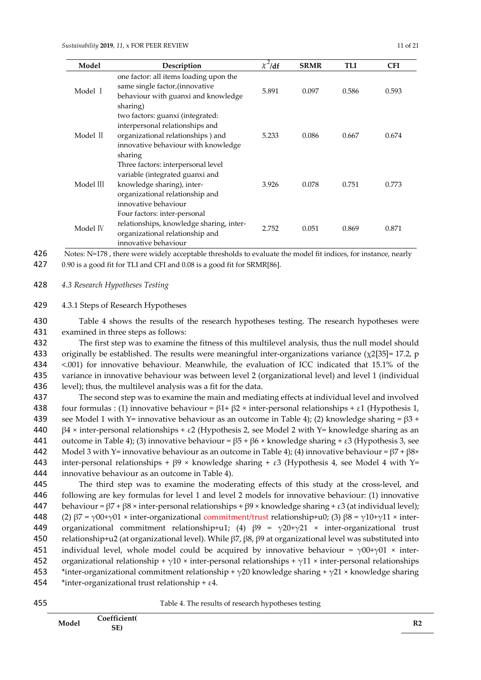| Model     | Description                                                                                                                                                    | $\chi^2/df$ | <b>SRMR</b> | TLI   | <b>CFI</b> |
|-----------|----------------------------------------------------------------------------------------------------------------------------------------------------------------|-------------|-------------|-------|------------|
| Model I   | one factor: all items loading upon the<br>same single factor, (innovative<br>behaviour with guanxi and knowledge<br>sharing)                                   | 5.891       | 0.097       | 0.586 | 0.593      |
| Model II  | two factors: guanxi (integrated:<br>interpersonal relationships and<br>organizational relationships) and<br>innovative behaviour with knowledge<br>sharing     | 5.233       | 0.086       | 0.667 | 0.674      |
| Model III | Three factors: interpersonal level<br>variable (integrated guanxi and<br>knowledge sharing), inter-<br>organizational relationship and<br>innovative behaviour | 3.926       | 0.078       | 0.751 | 0.773      |
| Model IV  | Four factors: inter-personal<br>relationships, knowledge sharing, inter-<br>organizational relationship and<br>innovative behaviour                            | 2.752       | 0.051       | 0.869 | 0.871      |

426 Notes: N=178, there were widely acceptable thresholds to evaluate the model fit indices, for instance, nearly

427 0.90 is a good fit for TLI and CFI and 0.08 is a good fit for SRMR[86].

428 *4.3 Research Hypotheses Testing* 

429 4.3.1 Steps of Research Hypotheses

430 Table 4 shows the results of the research hypotheses testing. The research hypotheses were 431 examined in three steps as follows:

432 The first step was to examine the fitness of this multilevel analysis, thus the null model should 433 originally be established. The results were meaningful inter-organizations variance  $(\chi^2[35]$ = 17.2, p 434 <.001) for innovative behaviour. Meanwhile, the evaluation of ICC indicated that 15.1% of the 435 variance in innovative behaviour was between level 2 (organizational level) and level 1 (individual 436 level); thus, the multilevel analysis was a fit for the data.

437 The second step was to examine the main and mediating effects at individual level and involved 438 four formulas : (1) innovative behaviour =  $β1 + β2 \times$  inter-personal relationships + ε1 (Hypothesis 1, 439 see Model 1 with Y= innovative behaviour as an outcome in Table 4); (2) knowledge sharing =  $\beta$ 3 + 440  $\beta$ 4 × inter-personal relationships + ε2 (Hypothesis 2, see Model 2 with Y= knowledge sharing as an 441 outcome in Table 4); (3) innovative behaviour =  $\beta$ 5 +  $\beta$ 6 × knowledge sharing + ε3 (Hypothesis 3, see 442 Model 3 with Y= innovative behaviour as an outcome in Table 4); (4) innovative behaviour =  $\beta$ 7 +  $\beta$ 8× 443 inter-personal relationships +  $\beta$ 9 × knowledge sharing + ε3 (Hypothesis 4, see Model 4 with Y= 444 innovative behaviour as an outcome in Table 4).

445 The third step was to examine the moderating effects of this study at the cross-level, and 446 following are key formulas for level 1 and level 2 models for innovative behaviour: (1) innovative 447 behaviour =  $β7 + β8 \times$  inter-personal relationships +  $β9 \times$  knowledge sharing + ε3 (at individual level); 448 (2)  $\beta$ 7 = γ00+γ01 × inter-organizational commitment/trust relationship+u0; (3)  $\beta$ 8 = γ10+γ11 × inter-449 organizational commitment relationship+u1; (4)  $\beta$ 9 =  $\gamma$ 20+ $\gamma$ 21 × inter-organizational trust 450 relationship+u2 (at organizational level). While  $β7$ ,  $β8$ ,  $β9$  at organizational level was substituted into 451 individual level, whole model could be acquired by innovative behaviour =  $\gamma$ 00+ $\gamma$ 01 × inter-452 organizational relationship +  $\gamma$ 10 × inter-personal relationships +  $\gamma$ 11 × inter-personal relationships 453 \*inter-organizational commitment relationship +  $\gamma$ 20 knowledge sharing +  $\gamma$ 21 × knowledge sharing 454 \*inter-organizational trust relationship +  $\varepsilon$ 4.



455 Table 4. The results of research hypotheses testing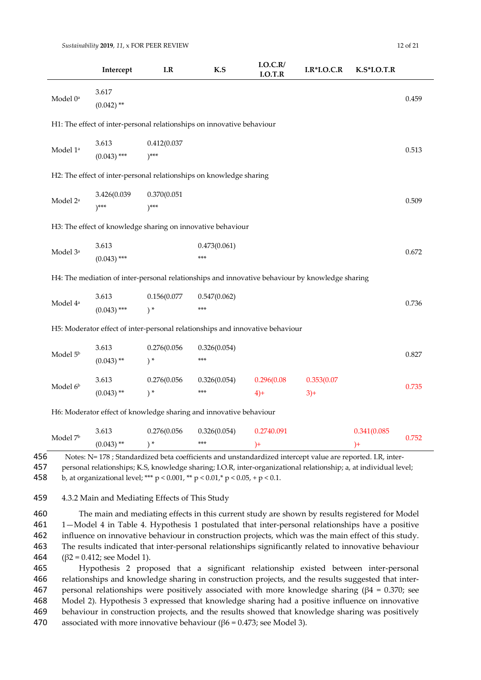|                      | Intercept                | $\mathbf{I}.\mathbf{R}$   | K.S                                                                                             | I.O.C.R/<br>I.O.T.R | $I.R*I.O.C.R$       | $K.S*LO.T.R$ |       |
|----------------------|--------------------------|---------------------------|-------------------------------------------------------------------------------------------------|---------------------|---------------------|--------------|-------|
| Model 0 <sup>a</sup> | 3.617<br>$(0.042)$ **    |                           |                                                                                                 |                     |                     |              | 0.459 |
|                      |                          |                           | H1: The effect of inter-personal relationships on innovative behaviour                          |                     |                     |              |       |
| Model $1^{\rm a}$    | 3.613<br>$(0.043)$ ***   | 0.412(0.037)<br>$)^***$   |                                                                                                 |                     |                     |              | 0.513 |
|                      |                          |                           | H2: The effect of inter-personal relationships on knowledge sharing                             |                     |                     |              |       |
| Model 2 <sup>a</sup> | 3.426(0.039<br>$)^{***}$ | 0.370(0.051)<br>$)^{***}$ |                                                                                                 |                     |                     |              | 0.509 |
|                      |                          |                           | H3: The effect of knowledge sharing on innovative behaviour                                     |                     |                     |              |       |
| Model 3 <sup>a</sup> | 3.613<br>$(0.043)$ ***   |                           | 0.473(0.061)<br>$***$                                                                           |                     |                     |              | 0.672 |
|                      |                          |                           | H4: The mediation of inter-personal relationships and innovative behaviour by knowledge sharing |                     |                     |              |       |
| Model 4 <sup>a</sup> | 3.613<br>$(0.043)$ ***   | 0.156(0.077<br>$) *$      | 0.547(0.062)<br>***                                                                             |                     |                     |              | 0.736 |
|                      |                          |                           | H5: Moderator effect of inter-personal relationships and innovative behaviour                   |                     |                     |              |       |
| Model 5 <sup>b</sup> | 3.613<br>$(0.043)$ **    | 0.276(0.056<br>$) *$      | 0.326(0.054)<br>***                                                                             |                     |                     |              | 0.827 |
| Model 6 <sup>b</sup> | 3.613<br>$(0.043)$ **    | 0.276(0.056<br>$)$ *      | 0.326(0.054)<br>$***$                                                                           | 0.296(0.08)<br>$4+$ | 0.353(0.07)<br>$3+$ |              | 0.735 |
|                      |                          |                           | H6: Moderator effect of knowledge sharing and innovative behaviour                              |                     |                     |              |       |
|                      | 3.613                    | 0.276(0.056               | 0.326(0.054)                                                                                    | 0.2740.091          |                     | 0.341(0.085  |       |

|       | ിവെല് |             |     |                                                                                                                   |  |
|-------|-------|-------------|-----|-------------------------------------------------------------------------------------------------------------------|--|
|       |       | $(14.3)$ ** | **> |                                                                                                                   |  |
| 1 C C |       |             |     | Matas, M., 470 ; Ctan JanJina J hata anafficients and constandanJina J intensent called and non-outed. T.D. inten |  |

456 Notes: N= 178 ; Standardized beta coefficients and unstandardized intercept value are reported. I.R, inter-

457 personal relationships; K.S, knowledge sharing; I.O.R, inter-organizational relationship; a, at individual level; 458 b, at organizational level; \*\*\*  $p < 0.001$ , \*\*  $p < 0.01$ , \*  $p < 0.05$ , +  $p < 0.1$ .

459 4.3.2 Main and Mediating Effects of This Study

 The main and mediating effects in this current study are shown by results registered for Model 1—Model 4 in Table 4. Hypothesis 1 postulated that inter-personal relationships have a positive influence on innovative behaviour in construction projects, which was the main effect of this study. The results indicated that inter-personal relationships significantly related to innovative behaviour 464 ( $\beta$ 2 = 0.412; see Model 1).

 Hypothesis 2 proposed that a significant relationship existed between inter-personal relationships and knowledge sharing in construction projects, and the results suggested that inter-467 personal relationships were positively associated with more knowledge sharing ( $\beta$ 4 = 0.370; see Model 2). Hypothesis 3 expressed that knowledge sharing had a positive influence on innovative behaviour in construction projects, and the results showed that knowledge sharing was positively 470 associated with more innovative behaviour ( $\beta$ 6 = 0.473; see Model 3).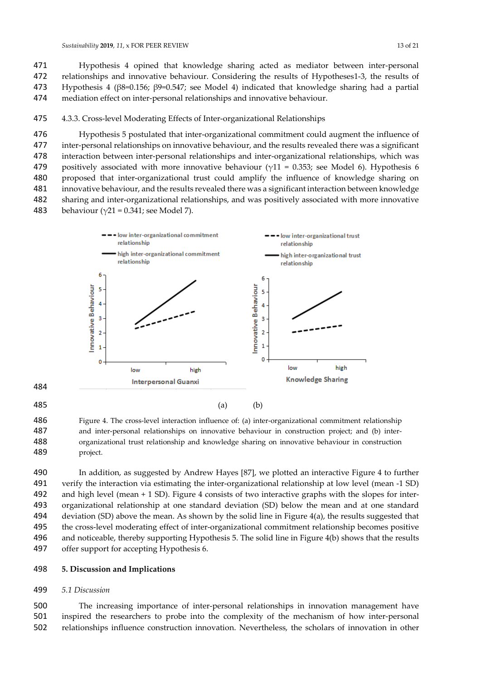Hypothesis 4 opined that knowledge sharing acted as mediator between inter-personal relationships and innovative behaviour. Considering the results of Hypotheses1-3, the results of Hypothesis 4 (β8=0.156; β9=0.547; see Model 4) indicated that knowledge sharing had a partial mediation effect on inter-personal relationships and innovative behaviour.

# 4.3.3. Cross-level Moderating Effects of Inter-organizational Relationships

 Hypothesis 5 postulated that inter-organizational commitment could augment the influence of inter-personal relationships on innovative behaviour, and the results revealed there was a significant interaction between inter-personal relationships and inter-organizational relationships, which was 479 positively associated with more innovative behaviour ( $\gamma$ 11 = 0.353; see Model 6). Hypothesis 6 proposed that inter-organizational trust could amplify the influence of knowledge sharing on innovative behaviour, and the results revealed there was a significant interaction between knowledge sharing and inter-organizational relationships, and was positively associated with more innovative 483 behaviour ( $\gamma$ 21 = 0.341; see Model 7).



 Figure 4. The cross-level interaction influence of: (a) inter-organizational commitment relationship and inter-personal relationships on innovative behaviour in construction project; and (b) inter- organizational trust relationship and knowledge sharing on innovative behaviour in construction project.

 In addition, as suggested by Andrew Hayes [87], we plotted an interactive Figure 4 to further verify the interaction via estimating the inter-organizational relationship at low level (mean -1 SD) and high level (mean + 1 SD). Figure 4 consists of two interactive graphs with the slopes for inter- organizational relationship at one standard deviation (SD) below the mean and at one standard deviation (SD) above the mean. As shown by the solid line in Figure 4(a), the results suggested that the cross-level moderating effect of inter-organizational commitment relationship becomes positive and noticeable, thereby supporting Hypothesis 5. The solid line in Figure 4(b) shows that the results offer support for accepting Hypothesis 6.

# **5. Discussion and Implications**

# *5.1 Discussion*

 The increasing importance of inter-personal relationships in innovation management have inspired the researchers to probe into the complexity of the mechanism of how inter-personal relationships influence construction innovation. Nevertheless, the scholars of innovation in other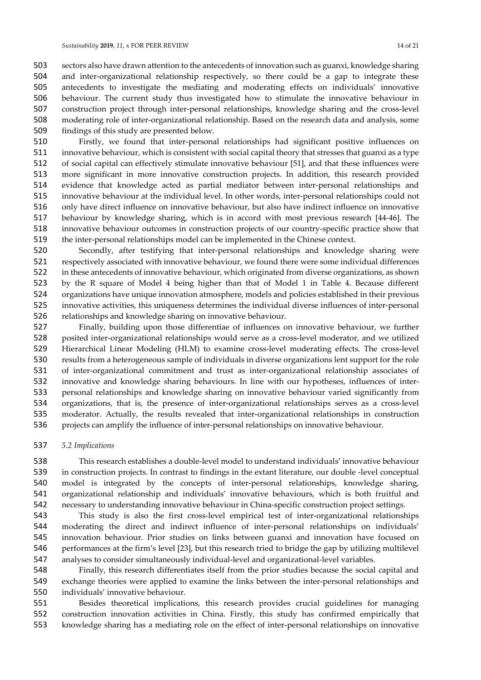sectors also have drawn attention to the antecedents of innovation such as guanxi, knowledge sharing and inter-organizational relationship respectively, so there could be a gap to integrate these antecedents to investigate the mediating and moderating effects on individuals' innovative behaviour. The current study thus investigated how to stimulate the innovative behaviour in construction project through inter-personal relationships, knowledge sharing and the cross-level moderating role of inter-organizational relationship. Based on the research data and analysis, some findings of this study are presented below.

 Firstly, we found that inter-personal relationships had significant positive influences on innovative behaviour, which is consistent with social capital theory that stresses that guanxi as a type of social capital can effectively stimulate innovative behaviour [51], and that these influences were more significant in more innovative construction projects. In addition, this research provided evidence that knowledge acted as partial mediator between inter-personal relationships and innovative behaviour at the individual level. In other words, inter-personal relationships could not only have direct influence on innovative behaviour, but also have indirect influence on innovative behaviour by knowledge sharing, which is in accord with most previous research [44-46]. The innovative behaviour outcomes in construction projects of our country-specific practice show that the inter-personal relationships model can be implemented in the Chinese context.

 Secondly, after testifying that inter-personal relationships and knowledge sharing were respectively associated with innovative behaviour, we found there were some individual differences in these antecedents of innovative behaviour, which originated from diverse organizations, as shown by the R square of Model 4 being higher than that of Model 1 in Table 4. Because different organizations have unique innovation atmosphere, models and policies established in their previous innovative activities, this uniqueness determines the individual diverse influences of inter-personal relationships and knowledge sharing on innovative behaviour.

 Finally, building upon those differentiae of influences on innovative behaviour, we further posited inter-organizational relationships would serve as a cross-level moderator, and we utilized Hierarchical Linear Modeling (HLM) to examine cross-level moderating effects. The cross-level results from a heterogeneous sample of individuals in diverse organizations lent support for the role of inter-organizational commitment and trust as inter-organizational relationship associates of innovative and knowledge sharing behaviours. In line with our hypotheses, influences of inter- personal relationships and knowledge sharing on innovative behaviour varied significantly from organizations, that is, the presence of inter-organizational relationships serves as a cross-level moderator. Actually, the results revealed that inter-organizational relationships in construction projects can amplify the influence of inter-personal relationships on innovative behaviour.

#### *5.2 Implications*

 This research establishes a double-level model to understand individuals' innovative behaviour in construction projects. In contrast to findings in the extant literature, our double -level conceptual model is integrated by the concepts of inter-personal relationships, knowledge sharing, organizational relationship and individuals' innovative behaviours, which is both fruitful and necessary to understanding innovative behaviour in China-specific construction project settings.

 This study is also the first cross-level empirical test of inter-organizational relationships moderating the direct and indirect influence of inter-personal relationships on individuals' innovation behaviour. Prior studies on links between guanxi and innovation have focused on performances at the firm's level [23], but this research tried to bridge the gap by utilizing multilevel analyses to consider simultaneously individual-level and organizational-level variables.

 Finally, this research differentiates itself from the prior studies because the social capital and exchange theories were applied to examine the links between the inter-personal relationships and individuals' innovative behaviour.

 Besides theoretical implications, this research provides crucial guidelines for managing construction innovation activities in China. Firstly, this study has confirmed empirically that knowledge sharing has a mediating role on the effect of inter-personal relationships on innovative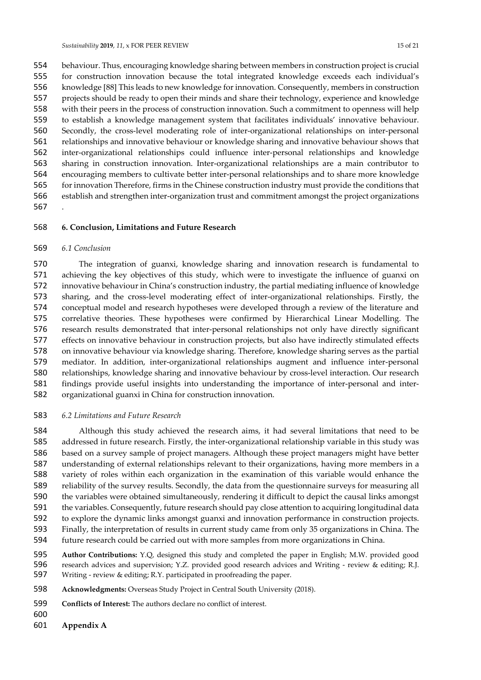behaviour. Thus, encouraging knowledge sharing between members in construction project is crucial for construction innovation because the total integrated knowledge exceeds each individual's knowledge [88] This leads to new knowledge for innovation. Consequently, members in construction projects should be ready to open their minds and share their technology, experience and knowledge with their peers in the process of construction innovation. Such a commitment to openness will help to establish a knowledge management system that facilitates individuals' innovative behaviour. Secondly, the cross-level moderating role of inter-organizational relationships on inter-personal relationships and innovative behaviour or knowledge sharing and innovative behaviour shows that inter-organizational relationships could influence inter-personal relationships and knowledge sharing in construction innovation. Inter-organizational relationships are a main contributor to encouraging members to cultivate better inter-personal relationships and to share more knowledge for innovation Therefore, firms in the Chinese construction industry must provide the conditions that establish and strengthen inter-organization trust and commitment amongst the project organizations .

#### **6. Conclusion, Limitations and Future Research**

#### *6.1 Conclusion*

 The integration of guanxi, knowledge sharing and innovation research is fundamental to achieving the key objectives of this study, which were to investigate the influence of guanxi on innovative behaviour in China's construction industry, the partial mediating influence of knowledge sharing, and the cross-level moderating effect of inter-organizational relationships. Firstly, the conceptual model and research hypotheses were developed through a review of the literature and correlative theories. These hypotheses were confirmed by Hierarchical Linear Modelling. The research results demonstrated that inter-personal relationships not only have directly significant effects on innovative behaviour in construction projects, but also have indirectly stimulated effects on innovative behaviour via knowledge sharing. Therefore, knowledge sharing serves as the partial mediator. In addition, inter-organizational relationships augment and influence inter-personal relationships, knowledge sharing and innovative behaviour by cross-level interaction. Our research findings provide useful insights into understanding the importance of inter-personal and inter-organizational guanxi in China for construction innovation.

#### *6.2 Limitations and Future Research*

 Although this study achieved the research aims, it had several limitations that need to be addressed in future research. Firstly, the inter-organizational relationship variable in this study was based on a survey sample of project managers. Although these project managers might have better understanding of external relationships relevant to their organizations, having more members in a variety of roles within each organization in the examination of this variable would enhance the reliability of the survey results. Secondly, the data from the questionnaire surveys for measuring all the variables were obtained simultaneously, rendering it difficult to depict the causal links amongst the variables. Consequently, future research should pay close attention to acquiring longitudinal data to explore the dynamic links amongst guanxi and innovation performance in construction projects. Finally, the interpretation of results in current study came from only 35 organizations in China. The future research could be carried out with more samples from more organizations in China.

**Author Contributions:** Y.Q, designed this study and completed the paper in English; M.W. provided good

 research advices and supervision; Y.Z. provided good research advices and Writing - review & editing; R.J. Writing - review & editing; R.Y. participated in proofreading the paper.

- **Acknowledgments:** Overseas Study Project in Central South University (2018).
- **Conflicts of Interest:** The authors declare no conflict of interest.
- 
- **Appendix A**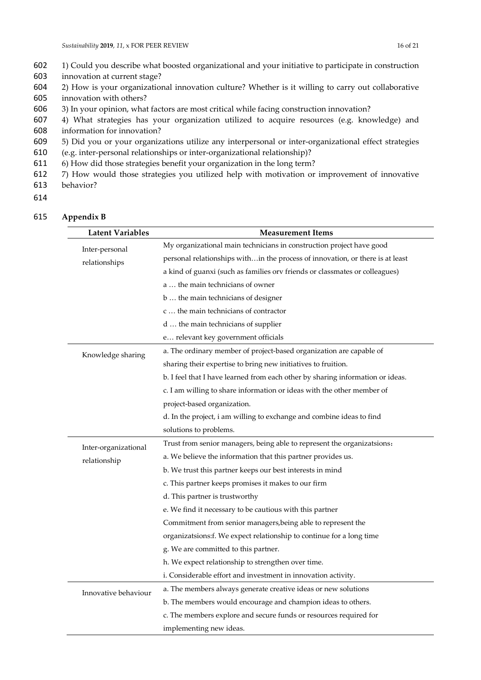- 602 1) Could you describe what boosted organizational and your initiative to participate in construction 603 innovation at current stage?
- 604 2) How is your organizational innovation culture? Whether is it willing to carry out collaborative 605 innovation with others?
- 606 3) In your opinion, what factors are most critical while facing construction innovation?
- 607 4) What strategies has your organization utilized to acquire resources (e.g. knowledge) and 608 information for innovation?
- 609 5) Did you or your organizations utilize any interpersonal or inter-organizational effect strategies
- 610 (e.g. inter-personal relationships or inter-organizational relationship)?
- 611 6) How did those strategies benefit your organization in the long term?
- 612 7) How would those strategies you utilized help with motivation or improvement of innovative 613 behavior?
- 614

| 615 |  | Appendix B |
|-----|--|------------|
|-----|--|------------|

| <b>Latent Variables</b> | <b>Measurement Items</b>                                                       |
|-------------------------|--------------------------------------------------------------------------------|
| Inter-personal          | My organizational main technicians in construction project have good           |
| relationships           | personal relationships within the process of innovation, or there is at least  |
|                         | a kind of guanxi (such as families orv friends or classmates or colleagues)    |
|                         | a  the main technicians of owner                                               |
|                         | b  the main technicians of designer                                            |
|                         | c  the main technicians of contractor                                          |
|                         | d  the main technicians of supplier                                            |
|                         | e relevant key government officials                                            |
| Knowledge sharing       | a. The ordinary member of project-based organization are capable of            |
|                         | sharing their expertise to bring new initiatives to fruition.                  |
|                         | b. I feel that I have learned from each other by sharing information or ideas. |
|                         | c. I am willing to share information or ideas with the other member of         |
|                         | project-based organization.                                                    |
|                         | d. In the project, i am willing to exchange and combine ideas to find          |
|                         | solutions to problems.                                                         |
| Inter-organizational    | Trust from senior managers, being able to represent the organizatsions:        |
| relationship            | a. We believe the information that this partner provides us.                   |
|                         | b. We trust this partner keeps our best interests in mind                      |
|                         | c. This partner keeps promises it makes to our firm                            |
|                         | d. This partner is trustworthy                                                 |
|                         | e. We find it necessary to be cautious with this partner                       |
|                         | Commitment from senior managers, being able to represent the                   |
|                         | organizatsions:f. We expect relationship to continue for a long time           |
|                         | g. We are committed to this partner.                                           |
|                         | h. We expect relationship to strengthen over time.                             |
|                         | i. Considerable effort and investment in innovation activity.                  |
| Innovative behaviour    | a. The members always generate creative ideas or new solutions                 |
|                         | b. The members would encourage and champion ideas to others.                   |
|                         | c. The members explore and secure funds or resources required for              |
|                         | implementing new ideas.                                                        |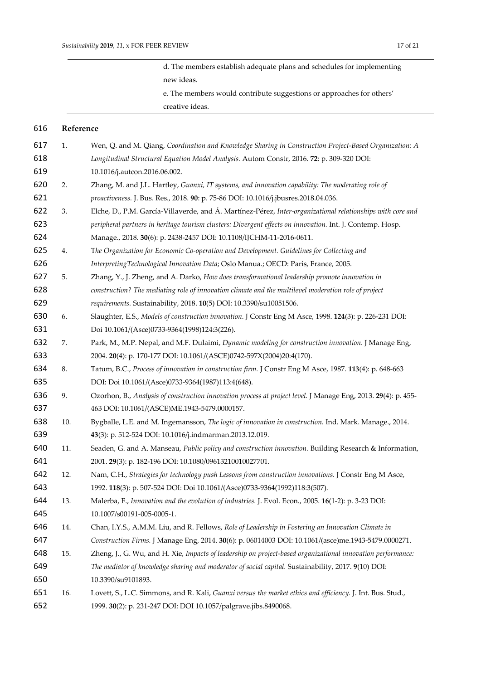d. The members establish adequate plans and schedules for implementing new ideas.

e. The members would contribute suggestions or approaches for others' creative ideas.

# **Reference**

| 617 | 1.  | Wen, Q. and M. Qiang, Coordination and Knowledge Sharing in Construction Project-Based Organization: A        |
|-----|-----|---------------------------------------------------------------------------------------------------------------|
| 618 |     | Longitudinal Structural Equation Model Analysis. Autom Constr, 2016. 72: p. 309-320 DOI:                      |
| 619 |     | 10.1016/j.autcon.2016.06.002.                                                                                 |
| 620 | 2.  | Zhang, M. and J.L. Hartley, Guanxi, IT systems, and innovation capability: The moderating role of             |
| 621 |     | proactiveness. J. Bus. Res., 2018. 90: p. 75-86 DOI: 10.1016/j.jbusres.2018.04.036.                           |
| 622 | 3.  | Elche, D., P.M. García-Villaverde, and Á. Martínez-Pérez, Inter-organizational relationships with core and    |
| 623 |     | peripheral partners in heritage tourism clusters: Divergent effects on innovation. Int. J. Contemp. Hosp.     |
| 624 |     | Manage., 2018. 30(6): p. 2438-2457 DOI: 10.1108/IJCHM-11-2016-0611.                                           |
| 625 | 4.  | The Organization for Economic Co-operation and Development. Guidelines for Collecting and                     |
| 626 |     | Interpreting Technological Innovation Data; Oslo Manua.; OECD: Paris, France, 2005.                           |
| 627 | 5.  | Zhang, Y., J. Zheng, and A. Darko, How does transformational leadership promote innovation in                 |
| 628 |     | construction? The mediating role of innovation climate and the multilevel moderation role of project          |
| 629 |     | requirements. Sustainability, 2018. 10(5) DOI: 10.3390/su10051506.                                            |
| 630 | 6.  | Slaughter, E.S., Models of construction innovation. J Constr Eng M Asce, 1998. 124(3): p. 226-231 DOI:        |
| 631 |     | Doi 10.1061/(Asce)0733-9364(1998)124:3(226).                                                                  |
| 632 | 7.  | Park, M., M.P. Nepal, and M.F. Dulaimi, Dynamic modeling for construction innovation. J Manage Eng,           |
| 633 |     | 2004. 20(4): p. 170-177 DOI: 10.1061/(ASCE)0742-597X(2004)20:4(170).                                          |
| 634 | 8.  | Tatum, B.C., Process of innovation in construction firm. J Constr Eng M Asce, 1987. 113(4): p. 648-663        |
| 635 |     | DOI: Doi 10.1061/(Asce)0733-9364(1987)113:4(648).                                                             |
| 636 | 9.  | Ozorhon, B., Analysis of construction innovation process at project level. J Manage Eng, 2013. 29(4): p. 455- |
| 637 |     | 463 DOI: 10.1061/(ASCE)ME.1943-5479.0000157.                                                                  |
| 638 | 10. | Bygballe, L.E. and M. Ingemansson, The logic of innovation in construction. Ind. Mark. Manage., 2014.         |
| 639 |     | 43(3): p. 512-524 DOI: 10.1016/j.indmarman.2013.12.019.                                                       |
| 640 | 11. | Seaden, G. and A. Manseau, Public policy and construction innovation. Building Research & Information,        |
| 641 |     | 2001. 29(3): p. 182-196 DOI: 10.1080/09613210010027701.                                                       |
| 642 | 12. | Nam, C.H., Strategies for technology push Lessons from construction innovations. J Constr Eng M Asce,         |
| 643 |     | 1992. 118(3): p. 507-524 DOI: Doi 10.1061/(Asce)0733-9364(1992)118:3(507).                                    |
| 644 | 13. | Malerba, F., Innovation and the evolution of industries. J. Evol. Econ., 2005. 16(1-2): p. 3-23 DOI:          |
| 645 |     | 10.1007/s00191-005-0005-1.                                                                                    |
| 646 | 14. | Chan, I.Y.S., A.M.M. Liu, and R. Fellows, Role of Leadership in Fostering an Innovation Climate in            |
| 647 |     | Construction Firms. J Manage Eng, 2014. 30(6): p. 06014003 DOI: 10.1061/(asce)me.1943-5479.0000271.           |
| 648 | 15. | Zheng, J., G. Wu, and H. Xie, Impacts of leadership on project-based organizational innovation performance:   |
| 649 |     | The mediator of knowledge sharing and moderator of social capital. Sustainability, 2017. 9(10) DOI:           |
| 650 |     | 10.3390/su9101893.                                                                                            |
| 651 | 16. | Lovett, S., L.C. Simmons, and R. Kali, Guanxi versus the market ethics and efficiency. J. Int. Bus. Stud.,    |
| 652 |     | 1999. 30(2): p. 231-247 DOI: DOI 10.1057/palgrave.jibs.8490068.                                               |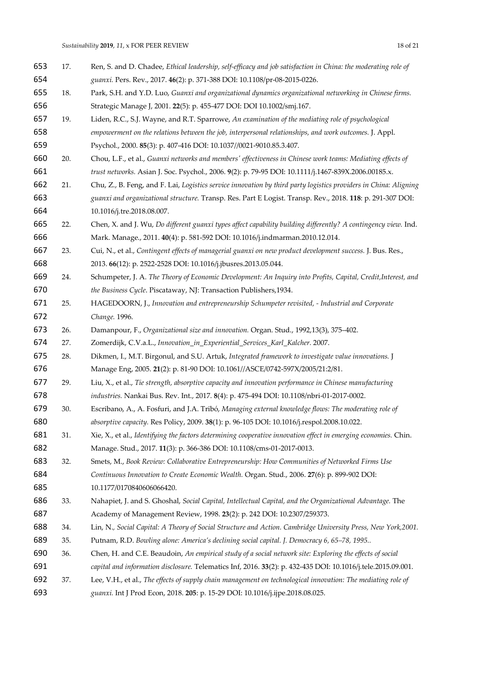| 653 | 17. | Ren, S. and D. Chadee, Ethical leadership, self-efficacy and job satisfaction in China: the moderating role of   |
|-----|-----|------------------------------------------------------------------------------------------------------------------|
| 654 |     | guanxi. Pers. Rev., 2017. 46(2): p. 371-388 DOI: 10.1108/pr-08-2015-0226.                                        |
| 655 | 18. | Park, S.H. and Y.D. Luo, Guanxi and organizational dynamics organizational networking in Chinese firms.          |
| 656 |     | Strategic Manage J, 2001. 22(5): p. 455-477 DOI: DOI 10.1002/smj.167.                                            |
| 657 | 19. | Liden, R.C., S.J. Wayne, and R.T. Sparrowe, An examination of the mediating role of psychological                |
| 658 |     | empowerment on the relations between the job, interpersonal relationships, and work outcomes. J. Appl.           |
| 659 |     | Psychol., 2000. 85(3): p. 407-416 DOI: 10.1037//0021-9010.85.3.407.                                              |
| 660 | 20. | Chou, L.F., et al., Guanxi networks and members' effectiveness in Chinese work teams: Mediating effects of       |
| 661 |     | trust networks. Asian J. Soc. Psychol., 2006. 9(2): p. 79-95 DOI: 10.1111/j.1467-839X.2006.00185.x.              |
| 662 | 21. | Chu, Z., B. Feng, and F. Lai, Logistics service innovation by third party logistics providers in China: Aligning |
| 663 |     | guanxi and organizational structure. Transp. Res. Part E Logist. Transp. Rev., 2018. 118: p. 291-307 DOI:        |
| 664 |     | 10.1016/j.tre.2018.08.007.                                                                                       |
| 665 | 22. | Chen, X. and J. Wu, Do different guanxi types affect capability building differently? A contingency view. Ind.   |
| 666 |     | Mark. Manage., 2011. 40(4): p. 581-592 DOI: 10.1016/j.indmarman.2010.12.014.                                     |
| 667 | 23. | Cui, N., et al., Contingent effects of managerial guanxi on new product development success. J. Bus. Res.,       |
| 668 |     | 2013. 66(12): p. 2522-2528 DOI: 10.1016/j.jbusres.2013.05.044.                                                   |
| 669 | 24. | Schumpeter, J. A. The Theory of Economic Development: An Inquiry into Profits, Capital, Credit, Interest, and    |
| 670 |     | the Business Cycle. Piscataway, NJ: Transaction Publishers, 1934.                                                |
| 671 | 25. | HAGEDOORN, J., Innovation and entrepreneurship Schumpeter revisited, - Industrial and Corporate                  |
| 672 |     | Change. 1996.                                                                                                    |
| 673 | 26. | Damanpour, F., Organizational size and innovation. Organ. Stud., 1992,13(3), 375-402.                            |
| 674 | 27. | Zomerdijk, C.V.a.L., Innovation_in_Experiential_Services_Karl_Kalcher. 2007.                                     |
| 675 | 28. | Dikmen, I., M.T. Birgonul, and S.U. Artuk, Integrated framework to investigate value innovations. J              |
| 676 |     | Manage Eng, 2005. 21(2): p. 81-90 DOI: 10.1061//ASCE/0742-597X/2005/21:2/81.                                     |
| 677 | 29. | Liu, X., et al., Tie strength, absorptive capacity and innovation performance in Chinese manufacturing           |
| 678 |     | industries. Nankai Bus. Rev. Int., 2017. 8(4): p. 475-494 DOI: 10.1108/nbri-01-2017-0002.                        |
| 679 | 30. | Escribano, A., A. Fosfuri, and J.A. Tribó, Managing external knowledge flows: The moderating role of             |
| 680 |     | absorptive capacity. Res Policy, 2009. 38(1): p. 96-105 DOI: 10.1016/j.respol.2008.10.022.                       |
| 681 | 31. | Xie, X., et al., Identifying the factors determining cooperative innovation effect in emerging economies. Chin.  |
| 682 |     | Manage. Stud., 2017. 11(3): p. 366-386 DOI: 10.1108/cms-01-2017-0013.                                            |
| 683 | 32. | Smets, M., Book Review: Collaborative Entrepreneurship: How Communities of Networked Firms Use                   |
| 684 |     | Continuous Innovation to Create Economic Wealth. Organ. Stud., 2006. 27(6): p. 899-902 DOI:                      |
| 685 |     | 10.1177/0170840606066420.                                                                                        |
| 686 | 33. | Nahapiet, J. and S. Ghoshal, Social Capital, Intellectual Capital, and the Organizational Advantage. The         |
| 687 |     | Academy of Management Review, 1998. 23(2): p. 242 DOI: 10.2307/259373.                                           |
| 688 | 34. | Lin, N., Social Capital: A Theory of Social Structure and Action. Cambridge University Press, New York, 2001.    |
| 689 | 35. | Putnam, R.D. Bowling alone: America's declining social capital. J. Democracy 6, 65-78, 1995                      |
| 690 | 36. | Chen, H. and C.E. Beaudoin, An empirical study of a social network site: Exploring the effects of social         |
| 691 |     | capital and information disclosure. Telematics Inf, 2016. 33(2): p. 432-435 DOI: 10.1016/j.tele.2015.09.001.     |
| 692 | 37. | Lee, V.H., et al., The effects of supply chain management on technological innovation: The mediating role of     |
| 693 |     | guanxi. Int J Prod Econ, 2018. 205: p. 15-29 DOI: 10.1016/j.ijpe.2018.08.025.                                    |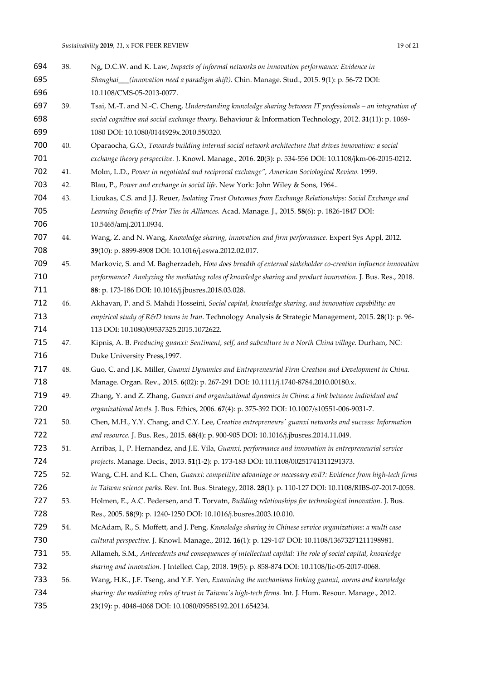| 694 | 38. | Ng, D.C.W. and K. Law, Impacts of informal networks on innovation performance: Evidence in                  |
|-----|-----|-------------------------------------------------------------------------------------------------------------|
| 695 |     | Shanghai_(innovation need a paradigm shift). Chin. Manage. Stud., 2015. 9(1): p. 56-72 DOI:                 |
| 696 |     | 10.1108/CMS-05-2013-0077.                                                                                   |
| 697 | 39. | Tsai, M.-T. and N.-C. Cheng, Understanding knowledge sharing between IT professionals - an integration of   |
| 698 |     | social cognitive and social exchange theory. Behaviour & Information Technology, 2012. 31(11): p. 1069-     |
| 699 |     | 1080 DOI: 10.1080/0144929x.2010.550320.                                                                     |
| 700 | 40. | Oparaocha, G.O., Towards building internal social network architecture that drives innovation: a social     |
| 701 |     | exchange theory perspective. J. Knowl. Manage., 2016. 20(3): p. 534-556 DOI: 10.1108/jkm-06-2015-0212.      |
| 702 | 41. | Molm, L.D., Power in negotiated and reciprocal exchange", American Sociological Review. 1999.               |
| 703 | 42. | Blau, P., Power and exchange in social life. New York: John Wiley & Sons, 1964                              |
| 704 | 43. | Lioukas, C.S. and J.J. Reuer, Isolating Trust Outcomes from Exchange Relationships: Social Exchange and     |
| 705 |     | Learning Benefits of Prior Ties in Alliances. Acad. Manage. J., 2015. 58(6): p. 1826-1847 DOI:              |
| 706 |     | 10.5465/amj.2011.0934.                                                                                      |
| 707 | 44. | Wang, Z. and N. Wang, Knowledge sharing, innovation and firm performance. Expert Sys Appl, 2012.            |
| 708 |     | 39(10): p. 8899-8908 DOI: 10.1016/j.eswa.2012.02.017.                                                       |
| 709 | 45. | Markovic, S. and M. Bagherzadeh, How does breadth of external stakeholder co-creation influence innovation  |
| 710 |     | performance? Analyzing the mediating roles of knowledge sharing and product innovation. J. Bus. Res., 2018. |
| 711 |     | 88: p. 173-186 DOI: 10.1016/j.jbusres.2018.03.028.                                                          |
| 712 | 46. | Akhavan, P. and S. Mahdi Hosseini, Social capital, knowledge sharing, and innovation capability: an         |
| 713 |     | empirical study of R&D teams in Iran. Technology Analysis & Strategic Management, 2015. 28(1): p. 96-       |
| 714 |     | 113 DOI: 10.1080/09537325.2015.1072622.                                                                     |
| 715 | 47. | Kipnis, A. B. Producing guanxi: Sentiment, self, and subculture in a North China village. Durham, NC:       |
| 716 |     | Duke University Press, 1997.                                                                                |
| 717 | 48. | Guo, C. and J.K. Miller, Guanxi Dynamics and Entrepreneurial Firm Creation and Development in China.        |
| 718 |     | Manage. Organ. Rev., 2015. 6(02): p. 267-291 DOI: 10.1111/j.1740-8784.2010.00180.x.                         |
| 719 | 49. | Zhang, Y. and Z. Zhang, Guanxi and organizational dynamics in China: a link between individual and          |
| 720 |     | organizational levels. J. Bus. Ethics, 2006. 67(4): p. 375-392 DOI: 10.1007/s10551-006-9031-7.              |
| 721 | 50. | Chen, M.H., Y.Y. Chang, and C.Y. Lee, Creative entrepreneurs' guanxi networks and success: Information      |
| 722 |     | and resource. J. Bus. Res., 2015. 68(4): p. 900-905 DOI: 10.1016/j.jbusres.2014.11.049.                     |
| 723 | 51. | Arribas, I., P. Hernandez, and J.E. Vila, Guanxi, performance and innovation in entrepreneurial service     |
| 724 |     | projects. Manage. Decis., 2013. 51(1-2): p. 173-183 DOI: 10.1108/00251741311291373.                         |
| 725 | 52. | Wang, C.H. and K.L. Chen, Guanxi: competitive advantage or necessary evil?: Evidence from high-tech firms   |
| 726 |     | in Taiwan science parks. Rev. Int. Bus. Strategy, 2018. 28(1): p. 110-127 DOI: 10.1108/RIBS-07-2017-0058.   |
| 727 | 53. | Holmen, E., A.C. Pedersen, and T. Torvatn, Building relationships for technological innovation. J. Bus.     |
| 728 |     | Res., 2005. 58(9): p. 1240-1250 DOI: 10.1016/j.busres.2003.10.010.                                          |
| 729 | 54. | McAdam, R., S. Moffett, and J. Peng, Knowledge sharing in Chinese service organizations: a multi case       |
| 730 |     | cultural perspective. J. Knowl. Manage., 2012. 16(1): p. 129-147 DOI: 10.1108/13673271211198981.            |
| 731 | 55. | Allameh, S.M., Antecedents and consequences of intellectual capital: The role of social capital, knowledge  |
| 732 |     | sharing and innovation. J Intellect Cap, 2018. 19(5): p. 858-874 DOI: 10.1108/Jic-05-2017-0068.             |
| 733 | 56. | Wang, H.K., J.F. Tseng, and Y.F. Yen, Examining the mechanisms linking guanxi, norms and knowledge          |
| 734 |     | sharing: the mediating roles of trust in Taiwan's high-tech firms. Int. J. Hum. Resour. Manage., 2012.      |
| 735 |     | 23(19): p. 4048-4068 DOI: 10.1080/09585192.2011.654234.                                                     |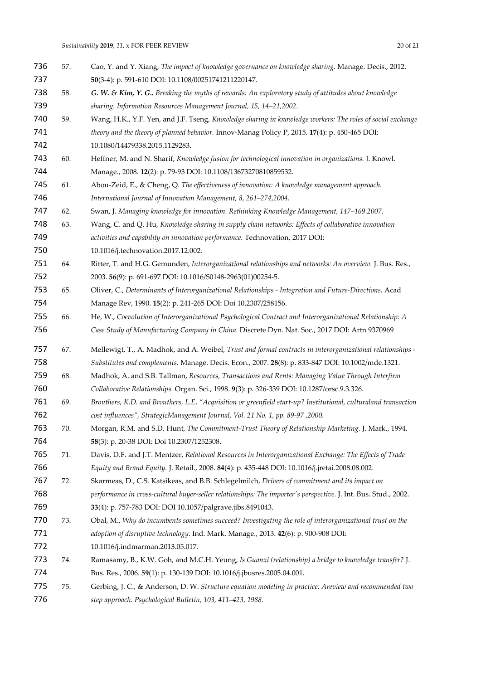| 736 | 57. | Cao, Y. and Y. Xiang, The impact of knowledge governance on knowledge sharing. Manage. Decis., 2012.            |
|-----|-----|-----------------------------------------------------------------------------------------------------------------|
| 737 |     | 50(3-4): p. 591-610 DOI: 10.1108/00251741211220147.                                                             |
| 738 | 58. | G. W. & Kim, Y. G Breaking the myths of rewards: An exploratory study of attitudes about knowledge              |
| 739 |     | sharing. Information Resources Management Journal, 15, 14-21,2002.                                              |
| 740 | 59. | Wang, H.K., Y.F. Yen, and J.F. Tseng, Knowledge sharing in knowledge workers: The roles of social exchange      |
| 741 |     | theory and the theory of planned behavior. Innov-Manag Policy P, 2015. 17(4): p. 450-465 DOI:                   |
| 742 |     | 10.1080/14479338.2015.1129283.                                                                                  |
| 743 | 60. | Heffner, M. and N. Sharif, Knowledge fusion for technological innovation in organizations. J. Knowl.            |
| 744 |     | Manage., 2008. 12(2): p. 79-93 DOI: 10.1108/13673270810859532.                                                  |
| 745 | 61. | Abou-Zeid, E., & Cheng, Q. The effectiveness of innovation: A knowledge management approach.                    |
| 746 |     | International Journal of Innovation Management, 8, 261-274,2004.                                                |
| 747 | 62. | Swan, J. Managing knowledge for innovation. Rethinking Knowledge Management, 147-169.2007.                      |
| 748 | 63. | Wang, C. and Q. Hu, Knowledge sharing in supply chain networks: Effects of collaborative innovation             |
| 749 |     | activities and capability on innovation performance. Technovation, 2017 DOI:                                    |
| 750 |     | 10.1016/j.technovation.2017.12.002.                                                                             |
| 751 | 64. | Ritter, T. and H.G. Gemunden, Interorganizational relationships and networks: An overview. J. Bus. Res.,        |
| 752 |     | 2003. 56(9): p. 691-697 DOI: 10.1016/S0148-2963(01)00254-5.                                                     |
| 753 | 65. | Oliver, C., Determinants of Interorganizational Relationships - Integration and Future-Directions. Acad         |
| 754 |     | Manage Rev, 1990. 15(2): p. 241-265 DOI: Doi 10.2307/258156.                                                    |
| 755 | 66. | He, W., Coevolution of Interorganizational Psychological Contract and Interorganizational Relationship: A       |
| 756 |     | Case Study of Manufacturing Company in China. Discrete Dyn. Nat. Soc., 2017 DOI: Artn 9370969                   |
| 757 | 67. | Mellewigt, T., A. Madhok, and A. Weibel, Trust and formal contracts in interorganizational relationships -      |
| 758 |     | Substitutes and complements. Manage. Decis. Econ., 2007. 28(8): p. 833-847 DOI: 10.1002/mde.1321.               |
| 759 | 68. | Madhok, A. and S.B. Tallman, Resources, Transactions and Rents: Managing Value Through Interfirm                |
| 760 |     | Collaborative Relationships. Organ. Sci., 1998. 9(3): p. 326-339 DOI: 10.1287/orsc.9.3.326.                     |
| 761 | 69. | Brouthers, K.D. and Brouthers, L.E. "Acquisition or greenfield start-up? Institutional, culturaland transaction |
| 762 |     | cost influences", StrategicManagement Journal, Vol. 21 No. 1, pp. 89-97,2000.                                   |
| 763 | 70. | Morgan, R.M. and S.D. Hunt, The Commitment-Trust Theory of Relationship Marketing. J. Mark., 1994.              |
| 764 |     | 58(3): p. 20-38 DOI: Doi 10.2307/1252308.                                                                       |
| 765 | 71. | Davis, D.F. and J.T. Mentzer, Relational Resources in Interorganizational Exchange: The Effects of Trade        |
| 766 |     | Equity and Brand Equity. J. Retail., 2008. 84(4): p. 435-448 DOI: 10.1016/j.jretai.2008.08.002.                 |
| 767 | 72. | Skarmeas, D., C.S. Katsikeas, and B.B. Schlegelmilch, Drivers of commitment and its impact on                   |
| 768 |     | performance in cross-cultural buyer-seller relationships: The importer's perspective. J. Int. Bus. Stud., 2002. |
| 769 |     | 33(4): p. 757-783 DOI: DOI 10.1057/palgrave.jibs.8491043.                                                       |
| 770 | 73. | Obal, M., Why do incumbents sometimes succeed? Investigating the role of interorganizational trust on the       |
| 771 |     | adoption of disruptive technology. Ind. Mark. Manage., 2013. 42(6): p. 900-908 DOI:                             |
| 772 |     | 10.1016/j.indmarman.2013.05.017.                                                                                |
| 773 | 74. | Ramasamy, B., K.W. Goh, and M.C.H. Yeung, Is Guanxi (relationship) a bridge to knowledge transfer? J.           |
| 774 |     | Bus. Res., 2006. 59(1): p. 130-139 DOI: 10.1016/j.jbusres.2005.04.001.                                          |
| 775 | 75. | Gerbing, J. C., & Anderson, D. W. Structure equation modeling in practice: Areview and recommended two          |
|     |     |                                                                                                                 |

*step approach. Psychological Bulletin, 103, 411–423, 1988.*